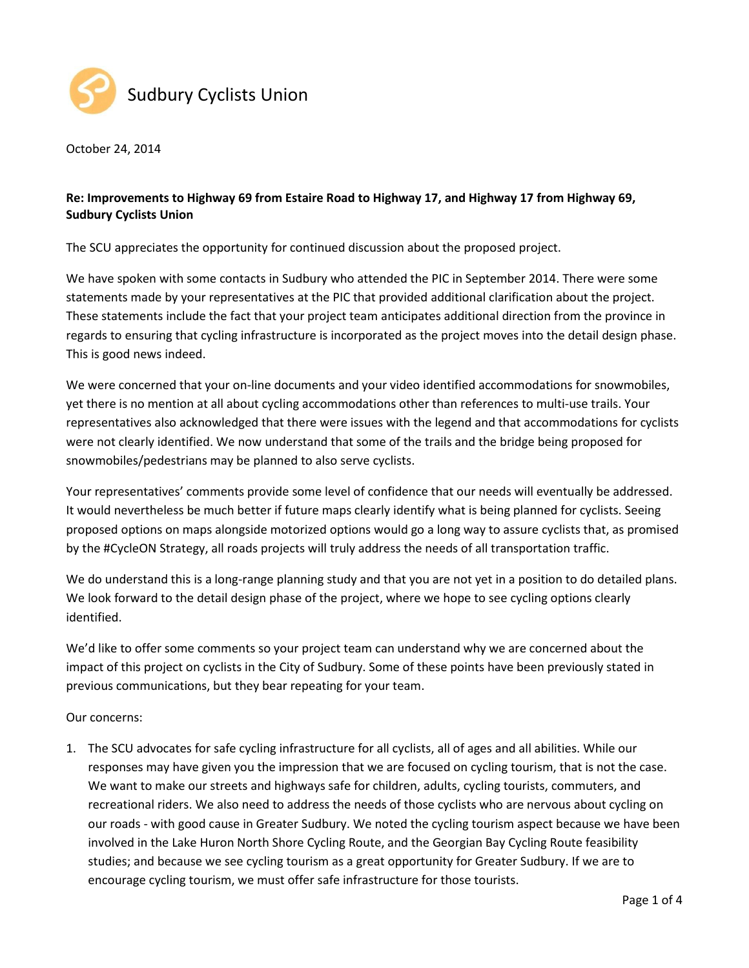

October 24, 2014

## **Re: Improvements to Highway 69 from Estaire Road to Highway 17, and Highway 17 from Highway 69, Sudbury Cyclists Union**

The SCU appreciates the opportunity for continued discussion about the proposed project.

We have spoken with some contacts in Sudbury who attended the PIC in September 2014. There were some statements made by your representatives at the PIC that provided additional clarification about the project. These statements include the fact that your project team anticipates additional direction from the province in regards to ensuring that cycling infrastructure is incorporated as the project moves into the detail design phase. This is good news indeed.

We were concerned that your on-line documents and your video identified accommodations for snowmobiles, yet there is no mention at all about cycling accommodations other than references to multi-use trails. Your representatives also acknowledged that there were issues with the legend and that accommodations for cyclists were not clearly identified. We now understand that some of the trails and the bridge being proposed for snowmobiles/pedestrians may be planned to also serve cyclists.

Your representatives' comments provide some level of confidence that our needs will eventually be addressed. It would nevertheless be much better if future maps clearly identify what is being planned for cyclists. Seeing proposed options on maps alongside motorized options would go a long way to assure cyclists that, as promised by the #CycleON Strategy, all roads projects will truly address the needs of all transportation traffic.

We do understand this is a long-range planning study and that you are not yet in a position to do detailed plans. We look forward to the detail design phase of the project, where we hope to see cycling options clearly identified.

We'd like to offer some comments so your project team can understand why we are concerned about the impact of this project on cyclists in the City of Sudbury. Some of these points have been previously stated in previous communications, but they bear repeating for your team.

## Our concerns:

1. The SCU advocates for safe cycling infrastructure for all cyclists, all of ages and all abilities. While our responses may have given you the impression that we are focused on cycling tourism, that is not the case. We want to make our streets and highways safe for children, adults, cycling tourists, commuters, and recreational riders. We also need to address the needs of those cyclists who are nervous about cycling on our roads - with good cause in Greater Sudbury. We noted the cycling tourism aspect because we have been involved in the Lake Huron North Shore Cycling Route, and the Georgian Bay Cycling Route feasibility studies; and because we see cycling tourism as a great opportunity for Greater Sudbury. If we are to encourage cycling tourism, we must offer safe infrastructure for those tourists.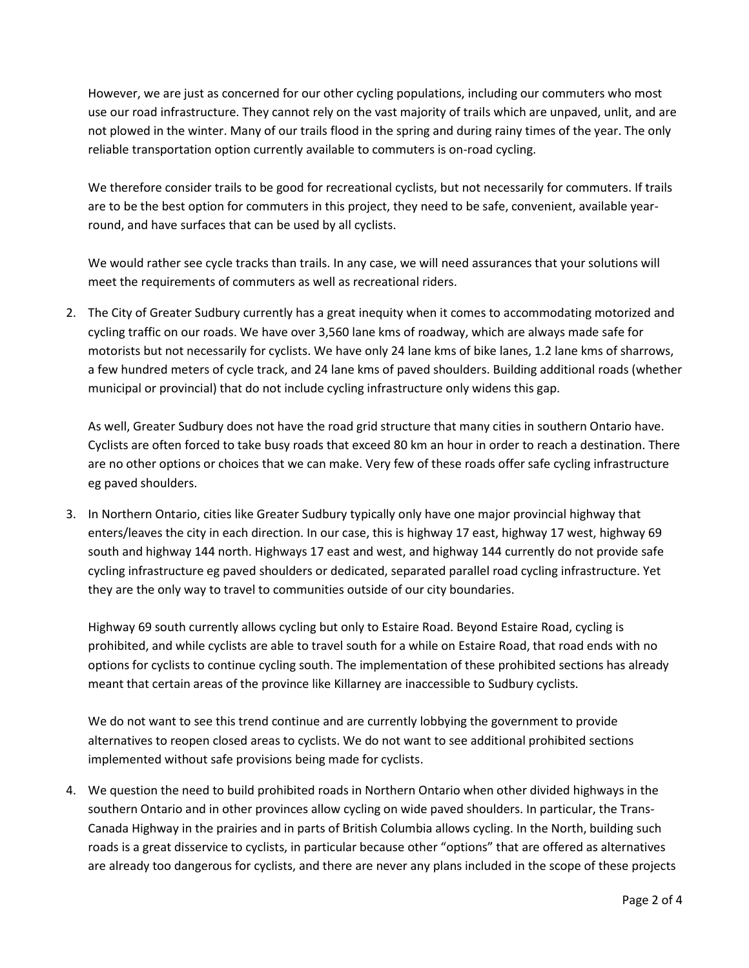However, we are just as concerned for our other cycling populations, including our commuters who most use our road infrastructure. They cannot rely on the vast majority of trails which are unpaved, unlit, and are not plowed in the winter. Many of our trails flood in the spring and during rainy times of the year. The only reliable transportation option currently available to commuters is on-road cycling.

We therefore consider trails to be good for recreational cyclists, but not necessarily for commuters. If trails are to be the best option for commuters in this project, they need to be safe, convenient, available yearround, and have surfaces that can be used by all cyclists.

We would rather see cycle tracks than trails. In any case, we will need assurances that your solutions will meet the requirements of commuters as well as recreational riders.

2. The City of Greater Sudbury currently has a great inequity when it comes to accommodating motorized and cycling traffic on our roads. We have over 3,560 lane kms of roadway, which are always made safe for motorists but not necessarily for cyclists. We have only 24 lane kms of bike lanes, 1.2 lane kms of sharrows, a few hundred meters of cycle track, and 24 lane kms of paved shoulders. Building additional roads (whether municipal or provincial) that do not include cycling infrastructure only widens this gap.

As well, Greater Sudbury does not have the road grid structure that many cities in southern Ontario have. Cyclists are often forced to take busy roads that exceed 80 km an hour in order to reach a destination. There are no other options or choices that we can make. Very few of these roads offer safe cycling infrastructure eg paved shoulders.

3. In Northern Ontario, cities like Greater Sudbury typically only have one major provincial highway that enters/leaves the city in each direction. In our case, this is highway 17 east, highway 17 west, highway 69 south and highway 144 north. Highways 17 east and west, and highway 144 currently do not provide safe cycling infrastructure eg paved shoulders or dedicated, separated parallel road cycling infrastructure. Yet they are the only way to travel to communities outside of our city boundaries.

Highway 69 south currently allows cycling but only to Estaire Road. Beyond Estaire Road, cycling is prohibited, and while cyclists are able to travel south for a while on Estaire Road, that road ends with no options for cyclists to continue cycling south. The implementation of these prohibited sections has already meant that certain areas of the province like Killarney are inaccessible to Sudbury cyclists.

We do not want to see this trend continue and are currently lobbying the government to provide alternatives to reopen closed areas to cyclists. We do not want to see additional prohibited sections implemented without safe provisions being made for cyclists.

4. We question the need to build prohibited roads in Northern Ontario when other divided highways in the southern Ontario and in other provinces allow cycling on wide paved shoulders. In particular, the Trans-Canada Highway in the prairies and in parts of British Columbia allows cycling. In the North, building such roads is a great disservice to cyclists, in particular because other "options" that are offered as alternatives are already too dangerous for cyclists, and there are never any plans included in the scope of these projects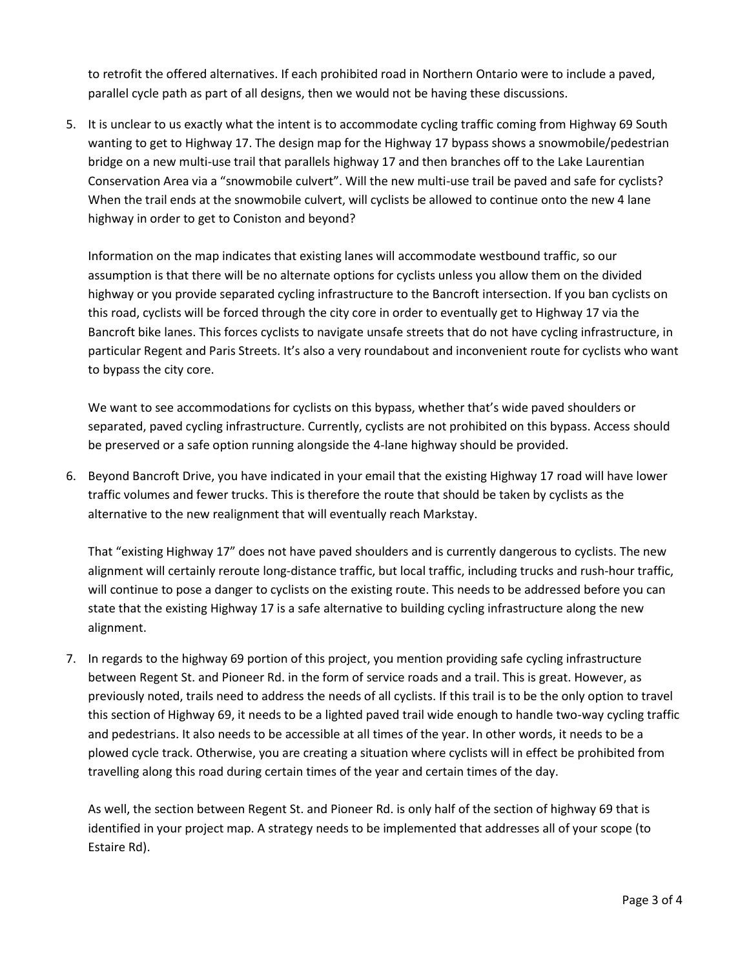to retrofit the offered alternatives. If each prohibited road in Northern Ontario were to include a paved, parallel cycle path as part of all designs, then we would not be having these discussions.

5. It is unclear to us exactly what the intent is to accommodate cycling traffic coming from Highway 69 South wanting to get to Highway 17. The design map for the Highway 17 bypass shows a snowmobile/pedestrian bridge on a new multi-use trail that parallels highway 17 and then branches off to the Lake Laurentian Conservation Area via a "snowmobile culvert". Will the new multi-use trail be paved and safe for cyclists? When the trail ends at the snowmobile culvert, will cyclists be allowed to continue onto the new 4 lane highway in order to get to Coniston and beyond?

Information on the map indicates that existing lanes will accommodate westbound traffic, so our assumption is that there will be no alternate options for cyclists unless you allow them on the divided highway or you provide separated cycling infrastructure to the Bancroft intersection. If you ban cyclists on this road, cyclists will be forced through the city core in order to eventually get to Highway 17 via the Bancroft bike lanes. This forces cyclists to navigate unsafe streets that do not have cycling infrastructure, in particular Regent and Paris Streets. It's also a very roundabout and inconvenient route for cyclists who want to bypass the city core.

We want to see accommodations for cyclists on this bypass, whether that's wide paved shoulders or separated, paved cycling infrastructure. Currently, cyclists are not prohibited on this bypass. Access should be preserved or a safe option running alongside the 4-lane highway should be provided.

6. Beyond Bancroft Drive, you have indicated in your email that the existing Highway 17 road will have lower traffic volumes and fewer trucks. This is therefore the route that should be taken by cyclists as the alternative to the new realignment that will eventually reach Markstay.

That "existing Highway 17" does not have paved shoulders and is currently dangerous to cyclists. The new alignment will certainly reroute long-distance traffic, but local traffic, including trucks and rush-hour traffic, will continue to pose a danger to cyclists on the existing route. This needs to be addressed before you can state that the existing Highway 17 is a safe alternative to building cycling infrastructure along the new alignment.

7. In regards to the highway 69 portion of this project, you mention providing safe cycling infrastructure between Regent St. and Pioneer Rd. in the form of service roads and a trail. This is great. However, as previously noted, trails need to address the needs of all cyclists. If this trail is to be the only option to travel this section of Highway 69, it needs to be a lighted paved trail wide enough to handle two-way cycling traffic and pedestrians. It also needs to be accessible at all times of the year. In other words, it needs to be a plowed cycle track. Otherwise, you are creating a situation where cyclists will in effect be prohibited from travelling along this road during certain times of the year and certain times of the day.

As well, the section between Regent St. and Pioneer Rd. is only half of the section of highway 69 that is identified in your project map. A strategy needs to be implemented that addresses all of your scope (to Estaire Rd).